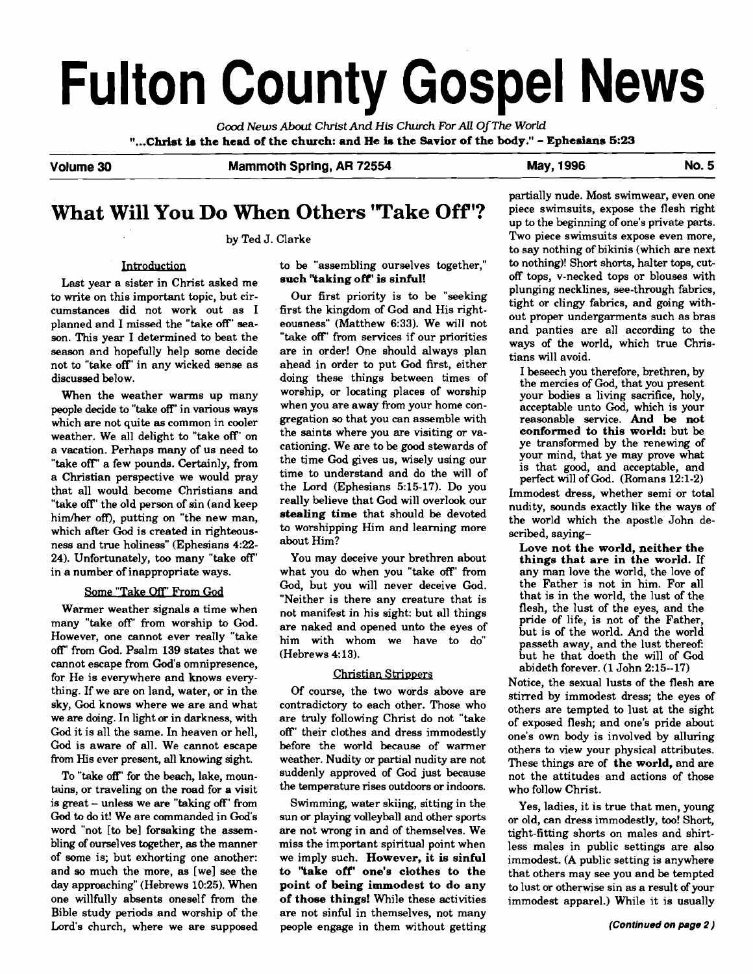# **Fulton County Gospel News**

**Good** *News* **About Christ And His Church For All Of The World "...Christ h the head of the church: and He b the Savior of the body."** - **Ephesians 5:23** 

**Volume 30 Mammoth Spring, AR 72554 May, 1996 No. 5** 

## **What Will You Do When Others 'Take Off** '?

by Ted J. Clarke

#### Introduction

Last year a sister in Christ asked me to write on this important topic, but circumstances did not work out as I planned and I missed the "take off' season. This year I determined to beat the season and hopefully help some decide not to "take off' in any wicked sense as discussed below.

When the weather warms up many people decide to "take off' in various ways which are not quite **as** common in cooler weather. We all delight to "take off' on a vacation. Perhaps many of us need to "take off' a few pounds. Certainly, from a Christian perspective we would pray that all would become Christians and "take off' the old person of sin (and keep him/her off), putting on "the new man, which after God is created in righteousness and true holiness" (Ephesians 4:22-24). Unfortunately, **too** many "take off' in a number of inappropriate ways.

#### Some "Take Off" From God

Warmer weather signals a time when many "take off' from worship to God. However, one cannot ever really "take off' from God. Psalm 139 states that we cannot escape from God's omnipresence, for He is everywhere and knows everything. If we are on land, water, or in the sky, God knows where we are and what we are doing. In light or in darkness, with God it is all the same. In heaven or hell, God is aware of all. We cannot escape from His ever present, all knowing sight.

To "take off' for the beach, lake, mountains, or traveling on the road for **a** visit is great - unless we are "taking off' from **God** to **do** it! We are commanded in God's word "not [to be] foreaking the assembling of ourselves together, as the manner of some is; but exhorting one another: and so much the more, as [we] see the day approaching" (Hebrews 10:25). When one willfully absents oneself from the Bible study periods and worship of the Lord's church, where we are supposed to be "assembling ourselves together," **such "taking off' is sinful!** 

Our first priority is to be "seeking first the kingdom of God and His righteousness" (Matthew 6:33). We will not "take off' from services if our priorities are in order! One should always plan ahead in order to put God first, either doing these things between times of worship, or locating places of worship when you are away from your home congregation so that you can assemble with the saints where you are visiting or vacationing. We are to be good stewards of the time God gives us, wisely using our time to understand and do the will of the Lord (Ephesians 5:15-17). Do you really believe that God will overlook our **stealing time** that should be devoted to worshipping Him and learning more about Him?

You may deceive your brethren about what you do when you "take off' from God, but you will never deceive God. "Neither is there any creature that is not manifest in his sight: but all things are naked and opened unto the eyes of him with whom we have to do"  $(Hebrews 4:13).$ 

#### **Christian Strippers**

Of course, the two words above are contradictory to each other. Those who are truly following Christ do not "take off' their clothes and dress immodestly before the world because of warmer weather. Nudity or partial nudity are not suddenly approved of God just because the temperature rises outdoors or indoors.

Swimming, water skiing, sitting in the sun or playing volleyball and other sports are not wrong in and of themselves. We miss the important spiritual point when we imply such. **However, it is sinful to "take off' one's clothes to the point of being immodest to do any of those things!** While these activities are not sinful in themselves, not many people engage in them without getting partially nude. Most swimwear, even one piece swimsuits, expose the flesh right up to the beginning of one's private parts. Two piece swimsuits expose even more, to say nothing of bikinis (which are next to nothing)! Short shorts, halter tops, cutoff tops, v-necked tops or blouses with plunging necklines, see-through fabrics, tight or clingy fabrics, and going without proper undergarments such as bras and panties are all according to the ways of the world, which true Christians will avoid.

I beseech you therefore, brethren, by the mercies of God, that you present your bodies a living sacrifice, holy, acceptable unto God, which is your reasonable service. **And be not conformed to this world:** but be ye transformed by the renewing of your mind, that ye may prove what is that good, and acceptable, and perfect will of God. (Romans 12:l-2)

Immodest dress, whether semi or total nudity, sounds exactly like the ways of the world which the apostle John described, saying-

**Love not the world, neither the things that are in the world.** If any man love the world, the love of the Father is not in him. For all that is in the world, the lust of the flesh, the lust of the eyes, and the pride of life, is not of the Father, but is of the world. And the world passeth away, and the lust thereof: but he that doeth the will of God abideth forever. (1 John 2:15--17)

Notice, the sexual lusts of the flesh are stirred by immodest dress; the eyes of others are tempted to lust at the sight of exposed flesh; and one's pride about one's own body is involved by alluring others to view your physical attributes. These things are of **the world,** and are not the attitudes and actions of those who follow Christ.

Yes, ladies, it is true that men, young or old, can dress immodestly, **too!** Short, tight-fitting shorts on males and shirtless males in public settings are also immodest. (A public setting is anywhere that others may see you and be tempted to lust or otherwise sin as a result of your immodest apparel.) While it is usually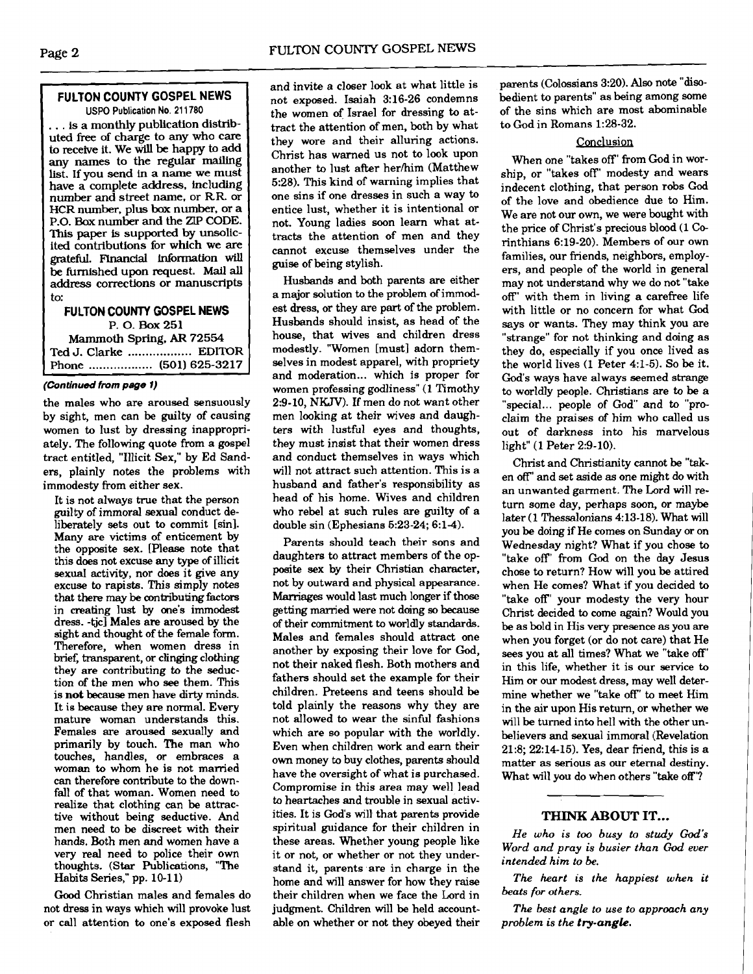#### **FULTON COUNTY GOSPEL NEWS USPO Publication No. 21 1780**

. . . is a monthly publication distributed free of charge to any who care to receive it. We will be happy to add any names to the regular mailing list. If you send in a name we must have a complete address, including number and street name, or RR. or HCR number, plus **box** number, or a **P.O.** Box number and the **ZIP CODE.**  This paper **is** supported by unsolicited contributions for which we are **gratefbl.** Financial Information will be furnished upon request. Mail all address corrections or manuscripts to:

#### **FULTON COUNTY GOSPEL NEWS P. 0. Box** <sup>251</sup> Mammoth Spring. **AR** 72554 Ted J. Clarke .................. EDITOR

Phone .................. (501) 625-3217

the males who are aroused sensuously by sight, men can be guilty of causing women to lust by dressing inappropriately. The following quote from a gospel tract entitled, "Illicit Sex," by Ed Sanders, plainly notes the problems with<br>immodesty from either sex.

It is not always true that the person guilty of immoral sexual conduct deliberately sets out to commit [sin]. Many are victims of enticement by the opposite sex. [Please note that this does not excuse any **type** of illicit sexual activity, nor does it give any excuse to rapists. This simply notes that there may be contributing factors in creating lust by one's immodest dress. -tjc] Males are aroused by the sight and thought of the female form. Therefore, when women dress in brief, transparent, or clinging clothing they are contributing to the seduction of the men who **see** them. This is **not** because men have **dirty** minds. It is because they are normal. Every mature woman understands this. Females are aroused sexually and primarily by touch. The man who touches, handles, or embraces a woman to whom he is not mamed can therefore contribute to the downfall of that woman. Women need to realize that clothing can be attractive without being seductive. And men need to be discreet with their hands. Both men and women have a very real need to police their own thoughts. (Star Publications, "The Habits Series," pp. 10-1 1)

**Good** Christian males and females do not dress in ways which will provoke lust or call attention to one's exposed flesh able on whether or not they obeyed their

and invite a closer look at what little is not exposed. Isaiah 3:16-26 condemns the women of Israel for dressing to attract the attention of men, both by what they wore and their alluring actions. Christ has warned us not to look upon another to lust after her/him (Matthew 5:28). This kind of warning implies that one sins if one dresses in such a way to entice lust, whether it is intentional or not. Young ladies soon learn what attracts the attention of men and they cannot excuse themselves under the guise of being stylish.

Husbands and both parents are either a major solution to the problem of immodest dress, or they are part of the problem. Husbands should insist, as head of the house, that wives and children dress modestly. "Women [must] adorn themselves in modest apparel, with propriety and moderation... which is proper for **(Continued from** *page* **1)** women professing godliness" (1 Timothy 2:9-10, NKJV). If men do not want other men looking at their wives and daughters with lustful eyes and thoughts, they must insist that their women dress and conduct themselves in ways which<br>will not attract such attention. This is a husband and father's responsibility as head of his home. Wives and children who rebel at such rules are guilty of a double sin (Ephesians 5:23-24; 6:14).

> Parents should teach their sons and daughters to attract members of the opposite sex by their Christian character, not by outward and physical appearance. **Marriages** would last much longer if those getting married were not daing **so because**  of their commitment to worldly standards. Males and females should attract one another by exposing their love for God, not their naked flesh. Both mothers and fathers should set the example for their children. Preteens and teens should be told plainly the reasons why they are not allowed to wear the sinful fashions which are so popular with the worldly. Even when children work and earn their own money to buy clothes, parents should have the oversight of what is purchased. Compromise in this area may well lead to heartaches and trouble in sexual activities. It is God's will that parents provide spiritual guidance for their children in these areas. Whether young people like it or not, or whether or not they understand it, parents are in charge in the home and will answer for how they raise their children when we face the Lord in judgment. Children will be held account

parents (Colossians 3:20). Also note "disobedient to parents" as being among some of the sins which are most abominable to God in Romans 1:28-32.

#### Conclusion

When one "takes off' from God in worship, or "takes off' modesty and wears indecent clothing, that person robs God of the love and obedience due to Him. We are not our own, we were bought with the price of Christ's precious blood (1 Corinthians 6:19-20). Members of our own families, our friends, neighbors, employers, and people of the world in general may not understand why we do not "take off' with them in living a carefree life with little or no concern for what **God**  says or wants. They may think you are "strange" for not thinking and doing as they do, especially if you once lived as the world lives (1 Peter 4:l-5). So be it. God's ways have always seemed strange to worldly people. Christians are to be a "special... people of God" and to "proclaim the praises of him who called us out of darkness into his marvelous light" (1 Peter 2:9-10).

Christ and Christianity cannot be "taken off" and set aside as one might do with an unwanted garment. The Lord will return some day, perhaps soon, or maybe later (1 Thessalonians 4:13-18). What will you be doing if He comes on Sunday or on Wednesday night? What if you chose to "take off' from God on the day Jesus chose to return? How will you be attired when He comes? What if you decided to "take off' your modesty the very hour Christ decided to come again? Would you be as bold in His very presence as you are when you forget (or do not care) that He sees you at all times? What we "take off' in this life, whether it is our service to Him or our modest dress, may well determine whether we "take off' to meet Him in the air upon His return, or whether we will be turned into hell with the other unbelievers and sexual immoral (Revelation 21:8; 2214-15). Yes, dear friend, this is a matter as serious as our eternal destiny. What will you do when others "take off'?

#### THINK **ABOUT IT...**

*He who is too busy to study* God's *Word and pray is busier than God ever intended him to be.* 

*The heart* **is** *the happiest when it beats for others.* 

*The best angle to use to approach any problem is the try-angle.*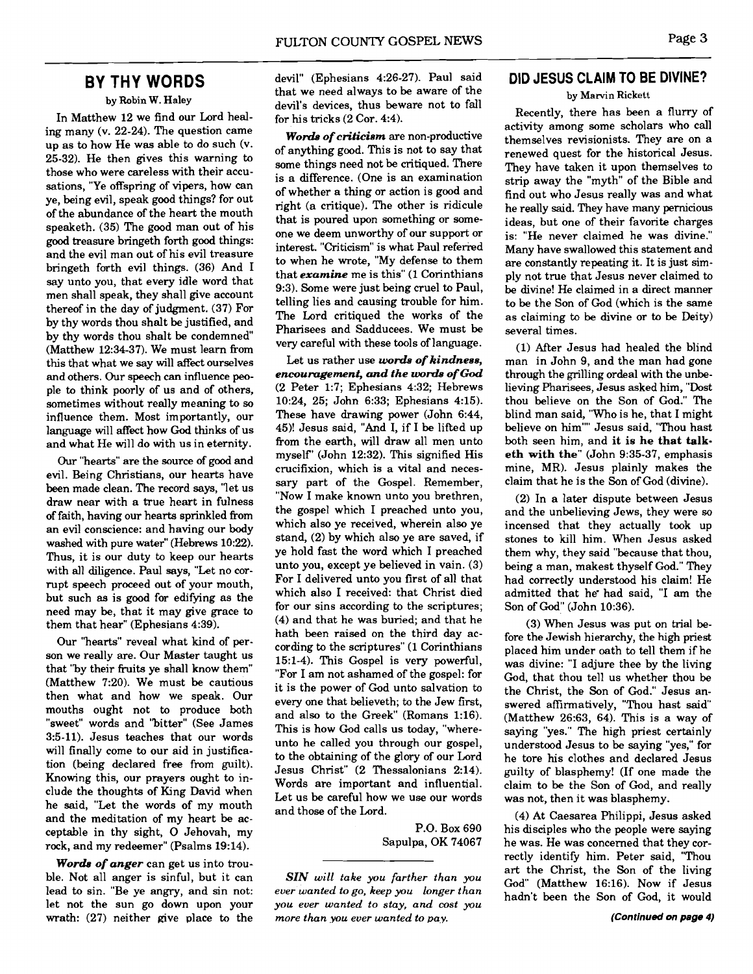### **BY THY WORDS**

by Robin W. Haley

In Matthew 12 we find our Lord healing many (v. 22-24). The question came up as to how He was able to do such (v. 25-32). He then gives this warning to those who were careless with their accusations, "Ye offspring of vipers, how can ye, being evil, speak good things? for out of the abundance of the heart the mouth speaketh. (35) The good man out of his good treasure bringeth forth good things: and the evil man out of his evil treasure bringeth forth evil things. (36) And I say unto you, that every idle word that men shall speak, they shall give account thereof in the day of judgment. (37) For by thy words thou shalt be justified, and by thy words thou shalt be condemned" (Matthew 12:34-37). We must learn from this that what we say will affect ourselves and others. Our speech can influence people to think poorly of us and of others, sometimes without really meaning to so influence them. Most importantly, our language will affect how God thinks of us and what He will do with us in eternity.

Our "hearts" are the source of good and evil. Being Christians, our hearts have been made clean. The record says, 'let us draw near with a true heart in fulness of faith, having our hearts sprinkled from an evil conscience: and having our body washed with pure water" (Hebrews 10:22). Thus, it is our duty to keep our hearts with all diligence. Paul says, "Let no corrupt speech proceed out of your mouth, but such as is good for edifying as the need may be, that it may give grace to them that hear" (Ephesians 4:39).

Our "hearts" reveal what kind of person we really are. Our Master taught us that "by their fruits ye shall know them" (Matthew 7:20). We must be cautious then what and how we speak. Our mouths ought not to produce both "sweet" words and "bitter" (See James 3:5-11). Jesus teaches that our words will finally come to our aid in justification (being declared free from guilt). Knowing this, our prayers ought to include the thoughts of King David when he said, "Let the words of my mouth and the meditation of my heart be acceptable in thy sight, 0 Jehovah, my rock, and my redeemer" (Psalms 19:14).

*Words of anger* can get us into trouble. Not all anger is sinful, but it can lead to sin. "Be ye angry, and sin not: let not the sun go down upon your wrath: (27) neither give place to the devil" (Ephesians 4:26-27). Paul said that we need always to be aware of the devil's devices, thus beware not to fall for his tricks (2 Cor. 4:4).

*Words of criticism* are non-productive of anything good. This is not to say that some things need not be critiqued. There is a difference. (One is an examination of whether a thing or action is good and right (a critique). The other is ridicule that is poured upon something or someone we deem unworthy of our support or interest. "Criticism" is what Paul referied to when he wrote, "My defense to them that *examine* me is this" (1 Corinthians 9:3). Some were just being cruel to Paul, telling lies and causing trouble for him. The Lord critiqued the works of the Pharisees and Sadducees. We must be very careful with these tools of language.

Let us rather use *words of kindness*, *encouragement, and the* **worde** *of* **God**  (2 Peter 1:7; Ephesians 4:32; Hebrews 10:24, 25; John 6:33; Ephesians 4:15). These have drawing power (John 6:44, 45)! Jesus said, "And I, if I be lifted up from the earth, will draw all men unto myself' (John 12:32). This signified His crucifixion, which is a vital and necessary part of the Gospel. Remember, "Now I make known unto you brethren, the gospel which I preached unto you, which also ye received, wherein also ye stand, (2) by which also ye are saved, if ye hold fast the word which I preached unto you, except ye believed in vain. (3) For I delivered unto you first of all that which also I received: that Christ died for our sins according to the scriptures; (4) and that he was buried; and that he hath been raised on the third day according to the scriptures" (1 Corinthians 15:l-4). This Gospel is very powerful, "For I am not ashamed of the gospel: for it is the power of God unto salvation to every one that believeth; to the Jew first, and also to the Greek" (Romans 1:16). This is how God calls us today, "whereunto he called you through our gospel, to the obtaining of the glory of our Lord Jesus Christ" (2 Thessalonians 2:14). Words are important and influential. Let us be careful how we use our words and those of the Lord.

> P.O. Box 690 Sapulpa, OK 74067

*SIN will take you farther than you ever wanted to go. keep you longer than you ever wanted to stay, and cost you more than you ever wanted to pay.* 

#### **DID JESUS CLAIM TO BE DIVINE?**

by Marvin Rickett

Recently, there has been a flurry of activity among some scholars who call themselves revisionists. They are on a renewed quest for the historical Jesus. They have taken it upon themselves to strip away the "myth" of the Bible and find out who Jesus really was and what he really said. They have many pernicious ideas, but one of their favorite charges is: "He never claimed he was divine." Many have swallowed this statement and are constantly repeating it. It is just simply not true that Jesus never claimed to be divine! He claimed in a direct manner to be the Son of God (which is the same as claiming to be divine or to be Deity) several times.

(1) After Jesus had healed the blind man in John 9, and the man had gone through the grilling ordeal with the unbelieving Pharisees, Jesus asked him, "Dost thou believe on the Son of God." The blind man said, "Who is he, that I might believe on him"" Jesus said, "Thou hast both seen him, and **it is he that talketh with the"** (John 9:35-37, emphasis mine, MR). Jesus plainly makes the claim that he is the Son of God (divine).

(2) In a later dispute between Jesus and the unbelieving Jews, they were so incensed that they actually took up stones to kill him. When Jesus asked them why, they said "because that thou, being a man, makest thyself God." They had correctly understood his claim! He admitted that he had said, "I am the Son of God" (John 10:36).

(3) When Jesus was put on trial before the Jewish hierarchy, the high priest placed him under oath to tell them if he was divine: "I adjure thee by the living God, that thou tell us whether thou be the Christ, the Son of God." Jesus answered affirmatively, "Thou hast said" (Matthew 26:63, 64). This is a way of saying "yes." The high priest certainly understood Jesus to be saying "yes," for he tore his clothes and declared Jesus guilty of blasphemy! (If one made the claim to be the Son of God, and really was not, then it was blasphemy.

(4) At Caesarea Philippi, Jesus asked his disciples who the people were saying he was. He was concerned that they correctly identify him. Peter said, "Thou art the Christ, the Son of the living God" (Matthew 16:16). Now if Jesus hadn't been the Son of God, it would